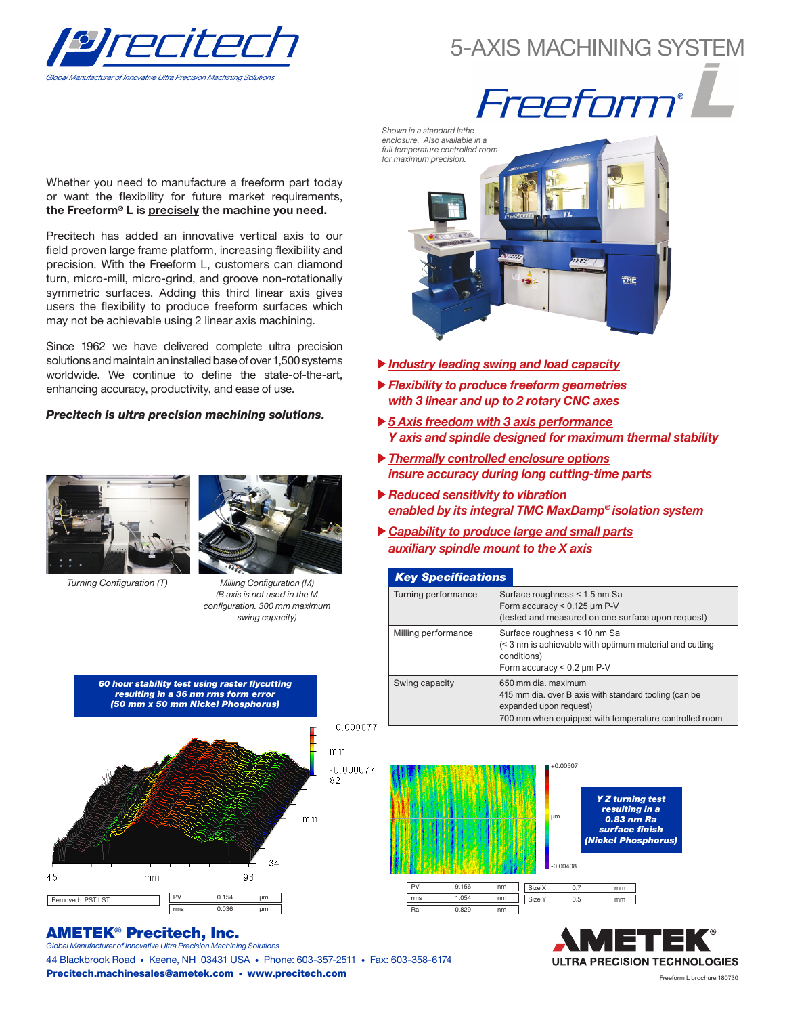

## 5-AXIS MACHINING SYSTEM



Whether you need to manufacture a freeform part today or want the flexibility for future market requirements, the Freeform® L is precisely the machine you need.

Precitech has added an innovative vertical axis to our field proven large frame platform, increasing flexibility and precision. With the Freeform L, customers can diamond turn, micro-mill, micro-grind, and groove non-rotationally symmetric surfaces. Adding this third linear axis gives users the flexibility to produce freeform surfaces which may not be achievable using 2 linear axis machining.

Since 1962 we have delivered complete ultra precision solutions and maintain an installed base of over 1,500 systems worldwide. We continue to define the state-of-the-art, enhancing accuracy, productivity, and ease of use.

#### *Precitech is ultra precision machining solutions.*





Turning Configuration (T)

Milling Configuration (M) (B axis is not used in the M configuration. 300 mm maximum swing capacity)



#### AMETEK® Precitech, Inc. *Global Manufacturer of Innovative Ultra Precision Machining Solutions*

44 Blackbrook Road • Keene, NH 03431 USA • Phone: 603-357-2511 • Fax: 603-358-6174 Precitech.machinesales@ametek.com • www.precitech.com

Shown in a standard lathe enclosure. Also available in a full temperature controlled room for maximum precision. **TNE** 

- *Industry leading swing and load capacity*
- *Flexibility to produce freeform geometries with 3 linear and up to 2 rotary CNC axes*
- *5 Axis freedom with 3 axis performance Y axis and spindle designed for maximum thermal stability*
- *Thermally controlled enclosure options insure accuracy during long cutting-time parts*
- *Reduced sensitivity to vibration enabled by its integral TMC MaxDamp® isolation system*
- *Capability to produce large and small parts auxiliary spindle mount to the X axis*

#### **Key Specifications**

| Turning performance | Surface roughness < 1.5 nm Sa<br>Form accuracy < $0.125 \mu m$ P-V<br>(tested and measured on one surface upon request)                                         |
|---------------------|-----------------------------------------------------------------------------------------------------------------------------------------------------------------|
| Milling performance | Surface roughness < 10 nm Sa<br>(< 3 nm is achievable with optimum material and cutting<br>conditions)<br>Form accuracy < $0.2 \mu m$ P-V                       |
| Swing capacity      | 650 mm dia, maximum<br>415 mm dia. over B axis with standard tooling (can be<br>expanded upon request)<br>700 mm when equipped with temperature controlled room |



+0.00507

*Y Z turning test resulting in a 0.83 nm Ra*  surface finish (Nickel Phosphorus)

**ULTRA PRECISION TECHNOLOGIES**